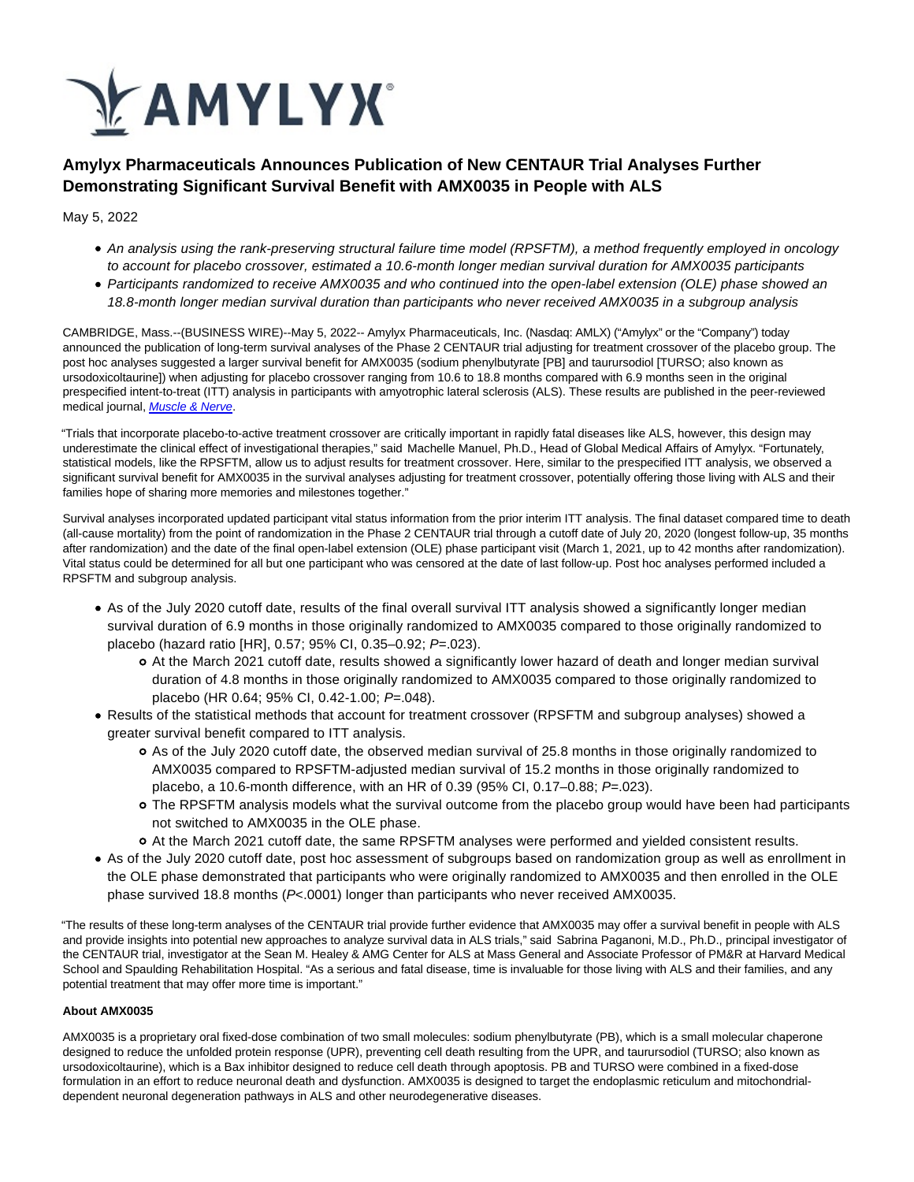

# **Amylyx Pharmaceuticals Announces Publication of New CENTAUR Trial Analyses Further Demonstrating Significant Survival Benefit with AMX0035 in People with ALS**

May 5, 2022

- An analysis using the rank-preserving structural failure time model (RPSFTM), a method frequently employed in oncology to account for placebo crossover, estimated a 10.6-month longer median survival duration for AMX0035 participants
- Participants randomized to receive AMX0035 and who continued into the open-label extension (OLE) phase showed an 18.8-month longer median survival duration than participants who never received AMX0035 in a subgroup analysis

CAMBRIDGE, Mass.--(BUSINESS WIRE)--May 5, 2022-- Amylyx Pharmaceuticals, Inc. (Nasdaq: AMLX) ("Amylyx" or the "Company") today announced the publication of long-term survival analyses of the Phase 2 CENTAUR trial adjusting for treatment crossover of the placebo group. The post hoc analyses suggested a larger survival benefit for AMX0035 (sodium phenylbutyrate [PB] and taurursodiol [TURSO; also known as ursodoxicoltaurine]) when adjusting for placebo crossover ranging from 10.6 to 18.8 months compared with 6.9 months seen in the original prespecified intent-to-treat (ITT) analysis in participants with amyotrophic lateral sclerosis (ALS). These results are published in the peer-reviewed medical journal, [Muscle & Nerve](https://cts.businesswire.com/ct/CT?id=smartlink&url=https%3A%2F%2Fonlinelibrary.wiley.com%2Fdoi%2F10.1002%2Fmus.27569&esheet=52709433&newsitemid=20220505005723&lan=en-US&anchor=Muscle+%26amp%3B+Nerve&index=1&md5=4898445672ebb07ea995c73fd7cf55a7).

"Trials that incorporate placebo-to-active treatment crossover are critically important in rapidly fatal diseases like ALS, however, this design may underestimate the clinical effect of investigational therapies," said Machelle Manuel, Ph.D., Head of Global Medical Affairs of Amylyx. "Fortunately, statistical models, like the RPSFTM, allow us to adjust results for treatment crossover. Here, similar to the prespecified ITT analysis, we observed a significant survival benefit for AMX0035 in the survival analyses adjusting for treatment crossover, potentially offering those living with ALS and their families hope of sharing more memories and milestones together."

Survival analyses incorporated updated participant vital status information from the prior interim ITT analysis. The final dataset compared time to death (all-cause mortality) from the point of randomization in the Phase 2 CENTAUR trial through a cutoff date of July 20, 2020 (longest follow-up, 35 months after randomization) and the date of the final open-label extension (OLE) phase participant visit (March 1, 2021, up to 42 months after randomization). Vital status could be determined for all but one participant who was censored at the date of last follow-up. Post hoc analyses performed included a RPSFTM and subgroup analysis.

- As of the July 2020 cutoff date, results of the final overall survival ITT analysis showed a significantly longer median survival duration of 6.9 months in those originally randomized to AMX0035 compared to those originally randomized to placebo (hazard ratio [HR], 0.57; 95% CI, 0.35–0.92; P=.023).
	- At the March 2021 cutoff date, results showed a significantly lower hazard of death and longer median survival duration of 4.8 months in those originally randomized to AMX0035 compared to those originally randomized to placebo (HR 0.64; 95% CI, 0.42-1.00; P=.048).
- Results of the statistical methods that account for treatment crossover (RPSFTM and subgroup analyses) showed a greater survival benefit compared to ITT analysis.
	- As of the July 2020 cutoff date, the observed median survival of 25.8 months in those originally randomized to AMX0035 compared to RPSFTM-adjusted median survival of 15.2 months in those originally randomized to placebo, a 10.6-month difference, with an HR of 0.39 (95% CI, 0.17–0.88;  $P=.023$ ).
	- The RPSFTM analysis models what the survival outcome from the placebo group would have been had participants not switched to AMX0035 in the OLE phase.
	- At the March 2021 cutoff date, the same RPSFTM analyses were performed and yielded consistent results.
- As of the July 2020 cutoff date, post hoc assessment of subgroups based on randomization group as well as enrollment in the OLE phase demonstrated that participants who were originally randomized to AMX0035 and then enrolled in the OLE phase survived 18.8 months (P<.0001) longer than participants who never received AMX0035.

"The results of these long-term analyses of the CENTAUR trial provide further evidence that AMX0035 may offer a survival benefit in people with ALS and provide insights into potential new approaches to analyze survival data in ALS trials," said Sabrina Paganoni, M.D., Ph.D., principal investigator of the CENTAUR trial, investigator at the Sean M. Healey & AMG Center for ALS at Mass General and Associate Professor of PM&R at Harvard Medical School and Spaulding Rehabilitation Hospital. "As a serious and fatal disease, time is invaluable for those living with ALS and their families, and any potential treatment that may offer more time is important."

# **About AMX0035**

AMX0035 is a proprietary oral fixed-dose combination of two small molecules: sodium phenylbutyrate (PB), which is a small molecular chaperone designed to reduce the unfolded protein response (UPR), preventing cell death resulting from the UPR, and taurursodiol (TURSO; also known as ursodoxicoltaurine), which is a Bax inhibitor designed to reduce cell death through apoptosis. PB and TURSO were combined in a fixed-dose formulation in an effort to reduce neuronal death and dysfunction. AMX0035 is designed to target the endoplasmic reticulum and mitochondrialdependent neuronal degeneration pathways in ALS and other neurodegenerative diseases.